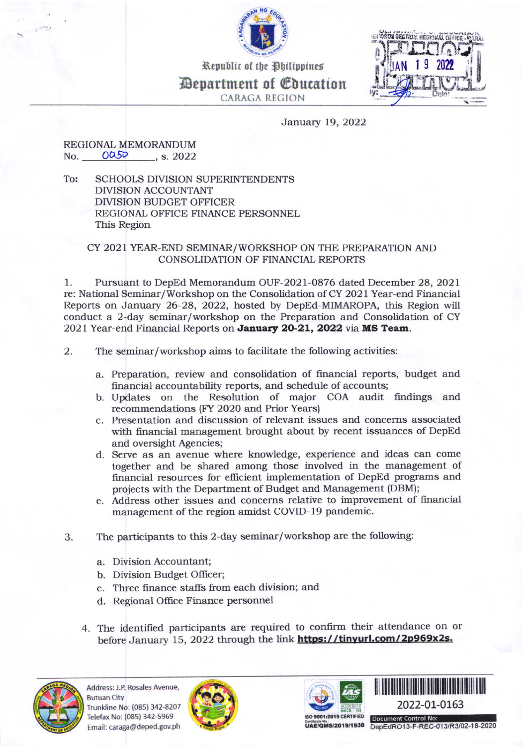

Republic of the Philippines



Department of Coucation **CARAGA REGION** 

## January 19, 2022

## REGIONAL MEMORANDUM No. 0050  $, s. 2022$

To: **SCHOOLS DIVISION SUPERINTENDENTS DIVISION ACCOUNTANT DIVISION BUDGET OFFICER** REGIONAL OFFICE FINANCE PERSONNEL This Region

## CY 2021 YEAR-END SEMINAR/WORKSHOP ON THE PREPARATION AND CONSOLIDATION OF FINANCIAL REPORTS

Pursuant to DepEd Memorandum OUF-2021-0876 dated December 28, 2021 1. re: National Seminar/Workshop on the Consolidation of CY 2021 Year-end Financial Reports on January 26-28, 2022, hosted by DepEd-MIMAROPA, this Region will conduct a 2-day seminar/workshop on the Preparation and Consolidation of CY 2021 Year-end Financial Reports on January 20-21, 2022 via MS Team.

- 2. The seminar/workshop aims to facilitate the following activities:
	- a. Preparation, review and consolidation of financial reports, budget and financial accountability reports, and schedule of accounts;
	- b. Updates on the Resolution of major COA audit findings and recommendations (FY 2020 and Prior Years)
	- c. Presentation and discussion of relevant issues and concerns associated with financial management brought about by recent issuances of DepEd and oversight Agencies;
	- d. Serve as an avenue where knowledge, experience and ideas can come together and be shared among those involved in the management of financial resources for efficient implementation of DepEd programs and projects with the Department of Budget and Management (DBM);
	- e. Address other issues and concerns relative to improvement of financial management of the region amidst COVID-19 pandemic.
- The participants to this 2-day seminar/workshop are the following: 3.
	- a. Division Accountant;
	- b. Division Budget Officer;
	- c. Three finance staffs from each division; and
	- d. Regional Office Finance personnel
	- 4. The identified participants are required to confirm their attendance on or before January 15, 2022 through the link https://tinyurl.com/2p969x2s.









DepEdRO13-F-REC-013/R3/02-18-2020

**UAE/QMS/2019/1938**